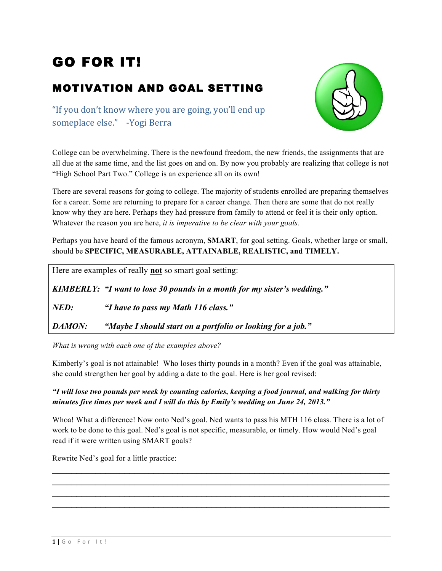# GO FOR IT!

#### MOTIVATION AND GOAL SETTING

"If you don't know where you are going, you'll end up someplace else." - Yogi Berra



College can be overwhelming. There is the newfound freedom, the new friends, the assignments that are all due at the same time, and the list goes on and on. By now you probably are realizing that college is not "High School Part Two." College is an experience all on its own!

There are several reasons for going to college. The majority of students enrolled are preparing themselves for a career. Some are returning to prepare for a career change. Then there are some that do not really know why they are here. Perhaps they had pressure from family to attend or feel it is their only option. Whatever the reason you are here, *it is imperative to be clear with your goals.*

Perhaps you have heard of the famous acronym, **SMART**, for goal setting. Goals, whether large or small, should be **SPECIFIC, MEASURABLE, ATTAINABLE, REALISTIC, and TIMELY.** 

|               | Here are examples of really <b>not</b> so smart goal setting:            |
|---------------|--------------------------------------------------------------------------|
|               | KIMBERLY: "I want to lose 30 pounds in a month for my sister's wedding." |
| NED:          | "I have to pass my Math 116 class."                                      |
| <b>DAMON:</b> | "Maybe I should start on a portfolio or looking for a job."              |

*What is wrong with each one of the examples above?* 

Kimberly's goal is not attainable! Who loses thirty pounds in a month? Even if the goal was attainable, she could strengthen her goal by adding a date to the goal. Here is her goal revised:

*"I will lose two pounds per week by counting calories, keeping a food journal, and walking for thirty minutes five times per week and I will do this by Emily's wedding on June 24, 2013."*

Whoa! What a difference! Now onto Ned's goal. Ned wants to pass his MTH 116 class. There is a lot of work to be done to this goal. Ned's goal is not specific, measurable, or timely. How would Ned's goal read if it were written using SMART goals?

\_\_\_\_\_\_\_\_\_\_\_\_\_\_\_\_\_\_\_\_\_\_\_\_\_\_\_\_\_\_\_\_\_\_\_\_\_\_\_\_\_\_\_\_\_\_\_\_\_\_\_\_\_\_\_\_\_\_\_\_\_\_\_\_\_\_\_\_\_\_ \_\_\_\_\_\_\_\_\_\_\_\_\_\_\_\_\_\_\_\_\_\_\_\_\_\_\_\_\_\_\_\_\_\_\_\_\_\_\_\_\_\_\_\_\_\_\_\_\_\_\_\_\_\_\_\_\_\_\_\_\_\_\_\_\_\_\_\_\_\_  $\mathcal{L}_\text{max}$  and  $\mathcal{L}_\text{max}$  and  $\mathcal{L}_\text{max}$  and  $\mathcal{L}_\text{max}$  and  $\mathcal{L}_\text{max}$  and  $\mathcal{L}_\text{max}$ \_\_\_\_\_\_\_\_\_\_\_\_\_\_\_\_\_\_\_\_\_\_\_\_\_\_\_\_\_\_\_\_\_\_\_\_\_\_\_\_\_\_\_\_\_\_\_\_\_\_\_\_\_\_\_\_\_\_\_\_\_\_\_\_\_\_\_\_\_\_

Rewrite Ned's goal for a little practice: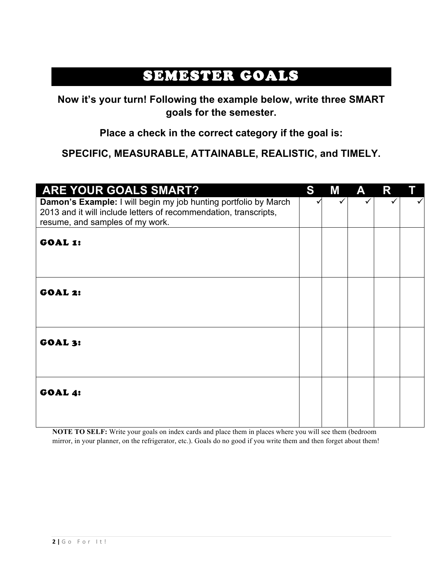## SEMESTER GOALS

**Now it's your turn! Following the example below, write three SMART goals for the semester.** 

**Place a check in the correct category if the goal is:**

**SPECIFIC, MEASURABLE, ATTAINABLE, REALISTIC, and TIMELY.**

| ARE YOUR GOALS SMART?                                                                                                                                                  | S | M | A | R |  |
|------------------------------------------------------------------------------------------------------------------------------------------------------------------------|---|---|---|---|--|
| Damon's Example: I will begin my job hunting portfolio by March<br>2013 and it will include letters of recommendation, transcripts,<br>resume, and samples of my work. |   |   |   |   |  |
| GOAL 1:                                                                                                                                                                |   |   |   |   |  |
|                                                                                                                                                                        |   |   |   |   |  |
| <b>GOAL 2:</b>                                                                                                                                                         |   |   |   |   |  |
| <b>GOAL 3:</b>                                                                                                                                                         |   |   |   |   |  |
| <b>GOAL 4:</b>                                                                                                                                                         |   |   |   |   |  |

**NOTE TO SELF:** Write your goals on index cards and place them in places where you will see them (bedroom mirror, in your planner, on the refrigerator, etc.). Goals do no good if you write them and then forget about them!